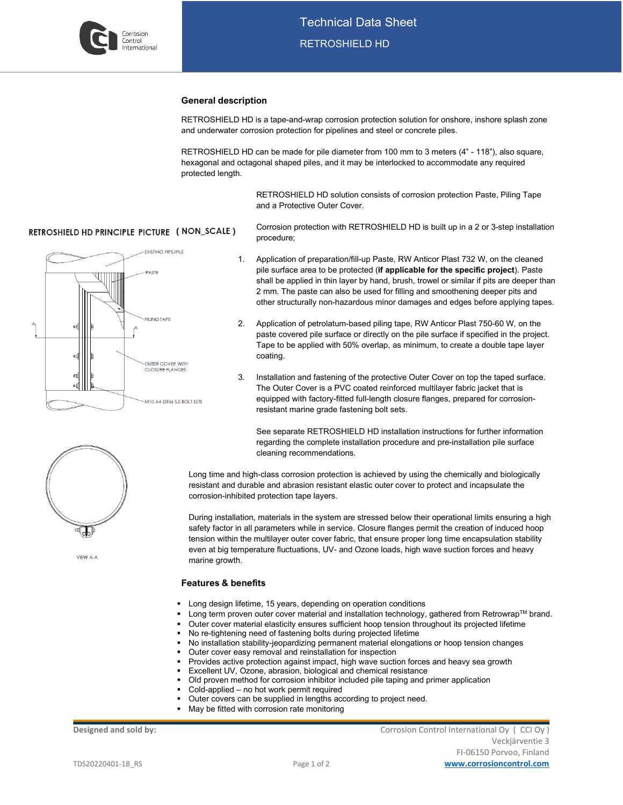

#### **General description**

procedure;

RETROSHIELD HD is a tape-and-wrap corrosion protection solution for onshore, inshore splash zone and underwater corrosion protection for pipelines and steel or concrete piles.

RETROSHIELD HD can be made for pile diameter from 100 mm to 3 meters (4" - 118"), also square, hexagonal and octagonal shaped piles, and it may be interlocked to accommodate any required protected length.

> RETROSHIELD HD solution consists of corrosion protection Paste, Piling Tape and a Protective Outer Cover.

Corrosion protection with RETROSHIELD HD is built up in a 2 or 3-step installation

## **RETROSHIELD HD PRINCIPLE PICTURE (NON\_SCALE)**



1. Application of preparation/fill-up Paste, RW Anticor Plast 732 W, on the cleaned pile surface area to be protected (**if applicable for the specific project**). Paste shall be applied in thin layer by hand, brush, trowel or similar if pits are deeper than 2 mm. The paste can also be used for filling and smoothening deeper pits and

other structurally non-hazardous minor damages and edges before applying tapes.

- 2. Application of petrolatum-based piling tape, RW Anticor Plast 750-60 W, on the paste covered pile surface or directly on the pile surface if specified in the project. Tape to be applied with 50% overlap, as minimum, to create a double tape layer coating.
- 3. Installation and fastening of the protective Outer Cover on top the taped surface. The Outer Cover is a PVC coated reinforced multilayer fabric jacket that is equipped with factory-fitted full-length closure flanges, prepared for corrosionresistant marine grade fastening bolt sets.

See separate RETROSHIELD HD installation instructions for further information regarding the complete installation procedure and pre-installation pile surface cleaning recommendations.

Long time and high-class corrosion protection is achieved by using the chemically and biologically resistant and durable and abrasion resistant elastic outer cover to protect and incapsulate the corrosion-inhibited protection tape layers.

During installation, materials in the system are stressed below their operational limits ensuring a high safety factor in all parameters while in service. Closure flanges permit the creation of induced hoop tension within the multilayer outer cover fabric, that ensure proper long time encapsulation stability even at big temperature fluctuations, UV- and Ozone loads, high wave suction forces and heavy marine growth.

#### **Features & benefits**

- **-** Long design lifetime, 15 years, depending on operation conditions
- Long term proven outer cover material and installation technology, gathered from Retrowrap™ brand.
- Outer cover material elasticity ensures sufficient hoop tension throughout its projected lifetime
	- No re-tightening need of fastening bolts during projected lifetime
	- No installation stability-jeopardizing permanent material elongations or hoop tension changes
- Outer cover easy removal and reinstallation for inspection
- Provides active protection against impact, high wave suction forces and heavy sea growth
- Excellent UV, Ozone, abrasion, biological and chemical resistance
- Old proven method for corrosion inhibitor included pile taping and primer application
- Cold-applied no hot work permit required
- Outer covers can be supplied in lengths according to project need.
- May be fitted with corrosion rate monitoring

**Designed and sold by:** Corrosion Control International Oy (CCI Oy ) Veckjärventie 3 FI-06150 Porvoo, Finland TDS20220401-1B\_RS Page 1 of 2 **[www.corrosioncontrol.com](http://www.corrosioncontrol.com/)**



VIEW A-A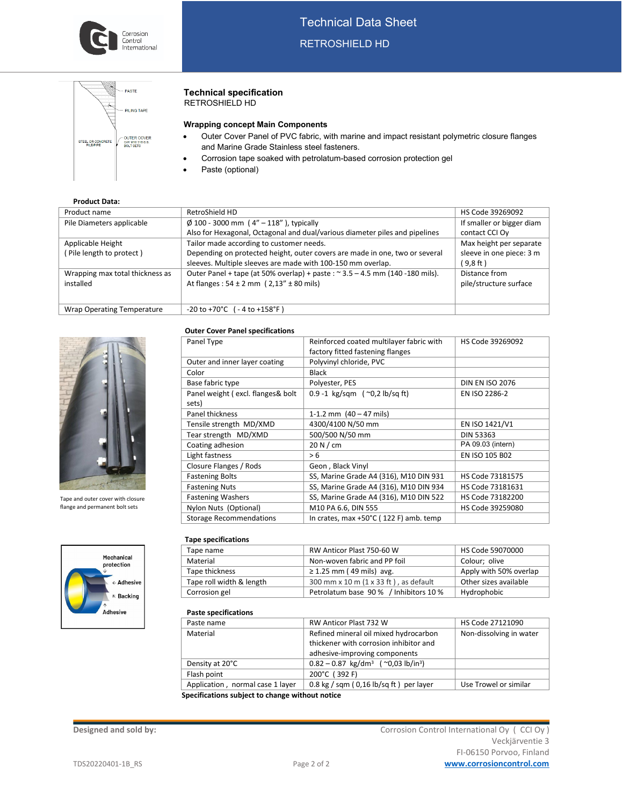

# Technical Data Sheet RETROSHIELD HD

|                                       | - PASTE                                                    |
|---------------------------------------|------------------------------------------------------------|
|                                       | <b>PILING TAPE</b>                                         |
| STEEL OR CONCRETE<br><b>PILE/PIPE</b> | <b>OUTER COVER</b><br>C/W M10 318 S.S.<br><b>BOLT SETS</b> |
|                                       |                                                            |

#### **Technical specification** RETROSHIELD HD

## **Wrapping concept Main Components**

- Outer Cover Panel of PVC fabric, with marine and impact resistant polymetric closure flanges and Marine Grade Stainless steel fasteners.
- Corrosion tape soaked with petrolatum-based corrosion protection gel
- Paste (optional)

| <b>Product Data:</b> |  |  |  |  |
|----------------------|--|--|--|--|
|                      |  |  |  |  |

| Product name                    | RetroShield HD                                                                | HS Code 39269092          |
|---------------------------------|-------------------------------------------------------------------------------|---------------------------|
|                                 |                                                                               |                           |
| Pile Diameters applicable       | $\emptyset$ 100 - 3000 mm (4" - 118"), typically                              | If smaller or bigger diam |
|                                 | Also for Hexagonal, Octagonal and dual/various diameter piles and pipelines   | contact CCI Oy            |
| Applicable Height               | Tailor made according to customer needs.                                      | Max height per separate   |
| (Pile length to protect)        | Depending on protected height, outer covers are made in one, two or several   | sleeve in one piece: 3 m  |
|                                 | sleeves. Multiple sleeves are made with 100-150 mm overlap.                   | (9,8 ft)                  |
| Wrapping max total thickness as | Outer Panel + tape (at 50% overlap) + paste : ~ 3.5 - 4.5 mm (140 -180 mils). | Distance from             |
| installed                       | At flanges: $54 \pm 2$ mm ( $2.13'' \pm 80$ mils)                             | pile/structure surface    |
|                                 |                                                                               |                           |
|                                 |                                                                               |                           |
| Wrap Operating Temperature      | $-20$ to $+70^{\circ}$ C ( - 4 to $+158^{\circ}$ F)                           |                           |

#### **Outer Cover Panel specifications**



Tape and outer cover with closure flange and permanent bolt sets



| Panel Type                        | Reinforced coated multilayer fabric with | HS Code 39269092       |
|-----------------------------------|------------------------------------------|------------------------|
|                                   | factory fitted fastening flanges         |                        |
| Outer and inner layer coating     | Polyvinyl chloride, PVC                  |                        |
| Color                             | <b>Black</b>                             |                        |
| Base fabric type                  | Polyester, PES                           | <b>DIN EN ISO 2076</b> |
| Panel weight (excl. flanges& bolt | 0.9 -1 kg/sqm $($ ~0,2 lb/sq ft)         | EN ISO 2286-2          |
| sets)                             |                                          |                        |
| Panel thickness                   | 1-1.2 mm $(40 - 47$ mils)                |                        |
| Tensile strength MD/XMD           | 4300/4100 N/50 mm                        | EN ISO 1421/V1         |
| Tear strength MD/XMD              | 500/500 N/50 mm                          | <b>DIN 53363</b>       |
| Coating adhesion                  | 20 N/cm                                  | PA 09.03 (intern)      |
| Light fastness                    | > 6                                      | EN ISO 105 B02         |
| Closure Flanges / Rods            | Geon, Black Vinyl                        |                        |
| <b>Fastening Bolts</b>            | SS, Marine Grade A4 (316), M10 DIN 931   | HS Code 73181575       |
| <b>Fastening Nuts</b>             | SS, Marine Grade A4 (316), M10 DIN 934   | HS Code 73181631       |
| <b>Fastening Washers</b>          | SS, Marine Grade A4 (316), M10 DIN 522   | HS Code 73182200       |
| Nylon Nuts (Optional)             | M10 PA 6.6, DIN 555                      | HS Code 39259080       |
| <b>Storage Recommendations</b>    | In crates, max +50°C (122 F) amb. temp   |                        |

#### **Tape specifications**

| Tape name                | RW Anticor Plast 750-60 W             | HS Code 59070000       |
|--------------------------|---------------------------------------|------------------------|
| Material                 | Non-woven fabric and PP foil          | Colour; olive          |
| Tape thickness           | $\geq$ 1.25 mm (49 mils) avg.         | Apply with 50% overlap |
| Tape roll width & length | 300 mm x 10 m (1 x 33 ft), as default | Other sizes available  |
| Corrosion gel            | Petrolatum base 90% / Inhibitors 10%  | Hydrophobic            |

#### **Paste specifications**

| Paste specifications             |                                                              |                         |
|----------------------------------|--------------------------------------------------------------|-------------------------|
| Paste name                       | RW Anticor Plast 732 W                                       | HS Code 27121090        |
| Material                         | Refined mineral oil mixed hydrocarbon                        | Non-dissolving in water |
|                                  | thickener with corrosion inhibitor and                       |                         |
|                                  | adhesive-improving components                                |                         |
| Density at 20°C                  | $0.82 - 0.87$ kg/dm <sup>3</sup> (~0.03 lb/in <sup>3</sup> ) |                         |
| Flash point                      | 200°C (392 F)                                                |                         |
| Application, normal case 1 layer | $0.8$ kg / sqm ( $0.16$ lb/sq ft) per layer                  | Use Trowel or similar   |
|                                  |                                                              |                         |

 **Specifications subject to change without notice**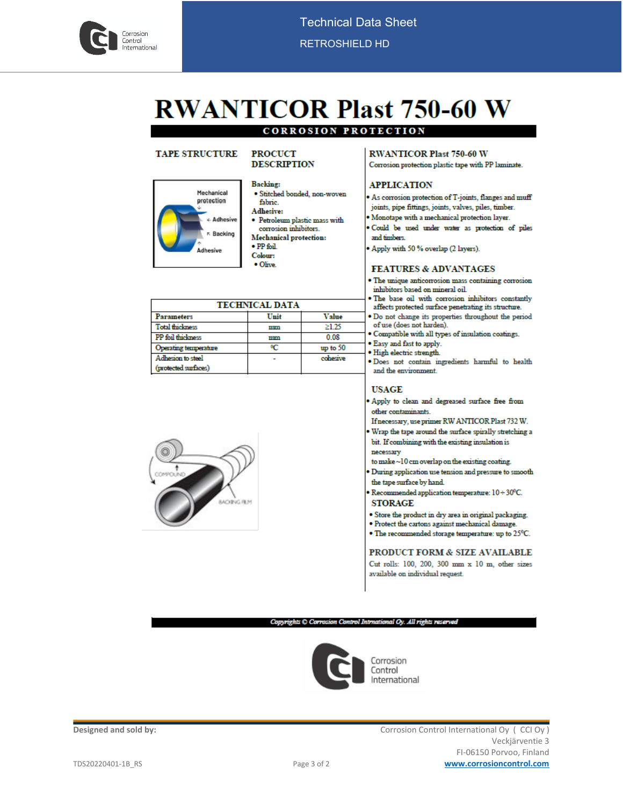

# **RWANTICOR Plast 750-60 W**

# **CORROSION PROTECTION**

# **TAPE STRUCTURE**

#### **PROCUCT DESCRIPTION**



**Backing:** · Stitched bonded, non-woven fabric. **Adhesive:** 

- · Petroleum plastic mass with corrosion inhibitors.
- **Mechanical protection:**
- $\bullet$  PP foil
- Colour:  $\bullet$  Olive.

| <b>TECHNICAL DATA</b>  |      |            |  |
|------------------------|------|------------|--|
| Parameters             | Unit | Value      |  |
| <b>Total thickness</b> | mm   | >125       |  |
| PP foil thickness      | mm   | 0.08       |  |
| Operating temperature  |      | up to $50$ |  |
| Adhesion to steel      |      | cohesive   |  |
| (protected surfaces)   |      |            |  |



#### **RWANTICOR Plast 750-60 W** Corrosion protection plastic tape with PP laminate.

# **APPLICATION**

- . As corrosion protection of T-joints, flanges and muff joints, pipe fittings, joints, valves, piles, timber.
- · Monotape with a mechanical protection layer.
- · Could be used under water as protection of piles and fimbers.
- Apply with 50 % overlap (2 layers).

#### **FEATURES & ADVANTAGES**

- · The unique anticorrosion mass containing corrosion inhibitors based on mineral oil.
- . The base oil with corrosion inhibitors constantly
- affects protected surface penetrating its structure. . Do not change its properties throughout the period
- of use (does not harden). . Compatible with all types of insulation coatings.
- . Easy and fast to apply.
- · High electric strength.
- . Does not contain ingredients harmful to health and the environment.

# **USAGE**

. Apply to clean and degreased surface free from other contaminants

- If necessary, use primer RW ANTICOR Plast 732 W.
- Wrap the tape around the surface spirally stretching a bit. If combining with the existing insulation is necessary
- to make ~10 cm overlap on the existing coating.
- During application use tension and pressure to smooth the tape surface by hand.
- Recommended application temperature:  $10 \div 30^0$ C. **STORAGE**
- · Store the product in dry area in original packaging.
- · Protect the cartons against mechanical damage.
- $\bullet$  The recommended storage temperature: up to  $25^{\rm o}{\rm C}.$

#### PRODUCT FORM & SIZE AVAILABLE Cut rolls: 100, 200, 300 mm x 10 m, other sizes available on individual request.

Copyrights C Corrosion Control Intrnational Oy. All rights reserved



Designed and sold by: